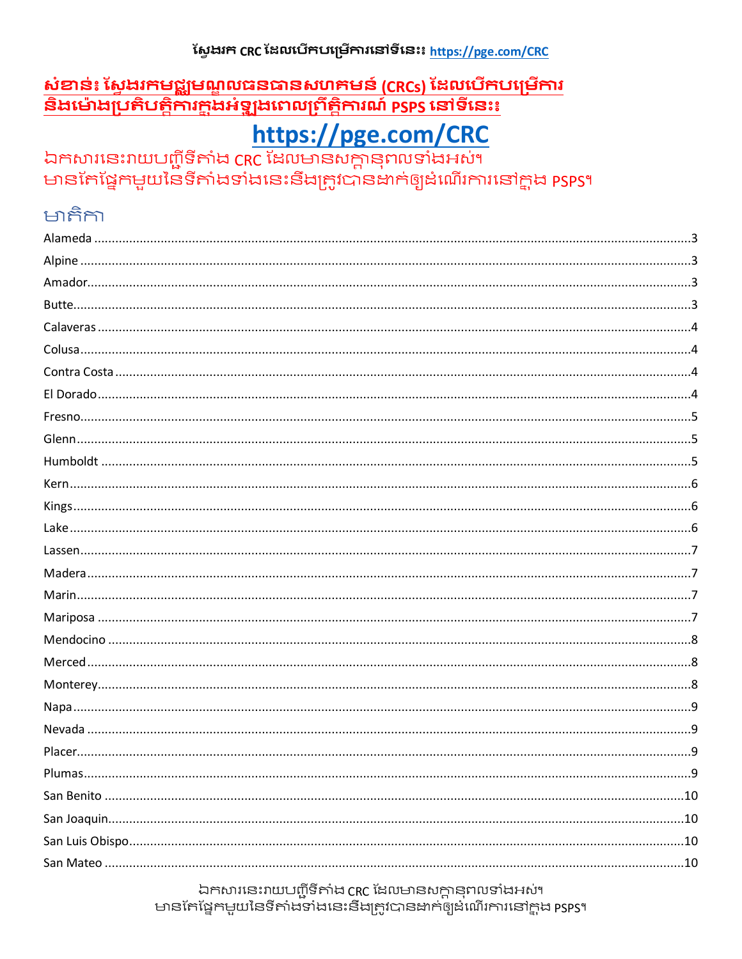### សែងរក CRC ដែលបើកបម្រើការនៅទីនេះ៖ https://pge.com/CRC

### <u>សំខាន់ះ ស្វែងរកមជ្ឈមណ្ឌលធនធានសហគមន៍ (CRCs) ដែលបើកបម្រើការ</u> <u>និងម៉ោងប្រតិបត្តិការក្តុងអំឡុងពេលព្រឹត្តិការណ៍ psps នៅទីនេះ៖</u>

# https://pge.com/CRC

ឯកសារនេះរាយបញ្ជីទីតាំង CRC ដែលមានសក្តានុពលទាំងអស់។ មានកែផ្នែកមួយនៃទីតាំងទាំងនេះនឹងត្រូវបានឌាក់ឲ្យដំណើរការនៅក្នុង psps។

# អាតិកា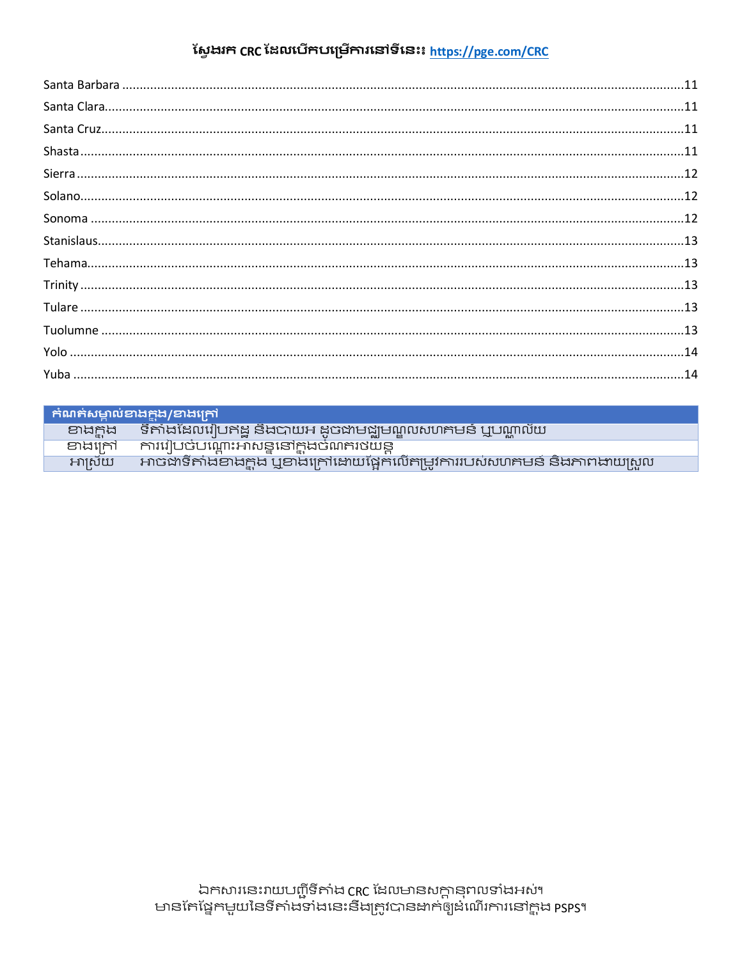# ស្វែងរក CRC ដែលបើកបម្រើការនៅទីនេះ៖ <u>https://pge.com/CRC</u>

|        | <b>Fimework Product</b>                                                  |
|--------|--------------------------------------------------------------------------|
| ander  | ិទីតាំងដែលរៀបឥដ្ឋ និងបាយអ ដូចជាមជ្ឈមណ្ឌលសហគមន៍ ឬបណ្ណាល័យ                 |
| ខាងកៅ  | ការរៀបចំបណ្តោះអាសន្ននៅក្នុងចំណតរថយន្ត                                    |
| អាស៊េយ | អាចជាទីតាំងខាងក្នុង ឬខាងក្រៅដោយផ្អែកលើតាម្មវការរបស់សហគមន៍ និងភាពងាយស្រួល |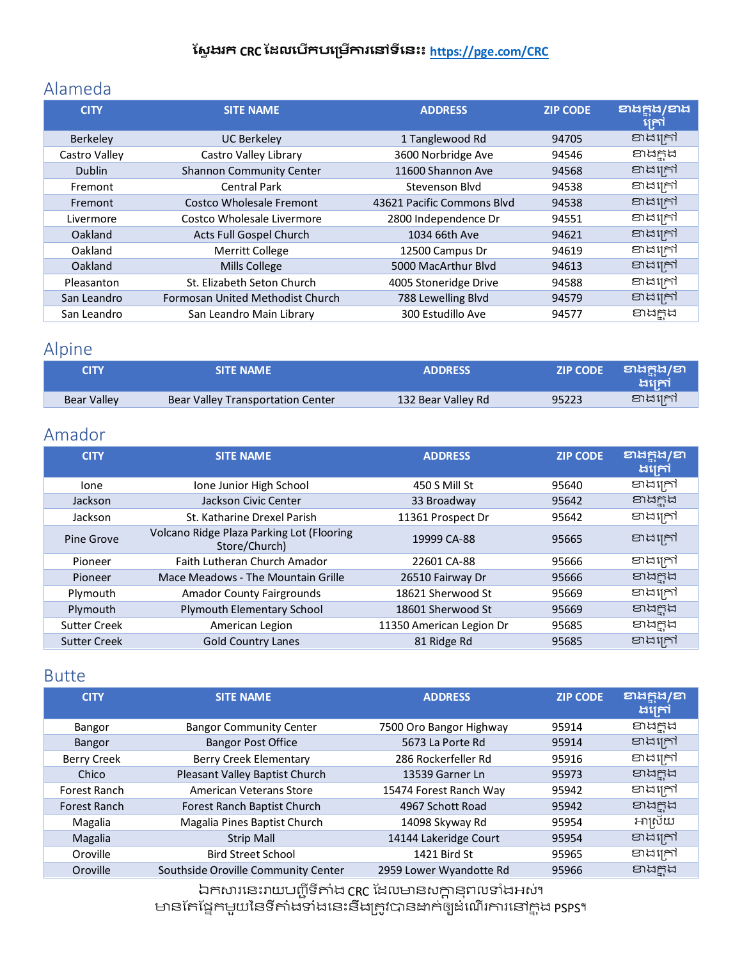### <span id="page-2-0"></span>Alameda

| <b>CITY</b>     | <b>SITE NAME</b>                 | <b>ADDRESS</b>             | <b>ZIP CODE</b> | <b>21565/215</b><br>ក្រៅ |
|-----------------|----------------------------------|----------------------------|-----------------|--------------------------|
| <b>Berkeley</b> | <b>UC Berkeley</b>               | 1 Tanglewood Rd            | 94705           | ខាងក្រៅ                  |
| Castro Valley   | Castro Valley Library            | 3600 Norbridge Ave         | 94546           | ខាងក្នុង                 |
| <b>Dublin</b>   | <b>Shannon Community Center</b>  | 11600 Shannon Ave          | 94568           | ខាងក្រៅ                  |
| Fremont         | <b>Central Park</b>              | Stevenson Blyd             | 94538           | ខាងក្រៅ                  |
| Fremont         | Costco Wholesale Fremont         | 43621 Pacific Commons Blyd | 94538           | ខាងក្រៅ                  |
| Livermore       | Costco Wholesale Livermore       | 2800 Independence Dr       | 94551           | ខាងក្រៅ                  |
| Oakland         | Acts Full Gospel Church          | 1034 66th Ave              | 94621           | ខាងក្រៅ                  |
| Oakland         | <b>Merritt College</b>           | 12500 Campus Dr            | 94619           | ខាងក្រៅ                  |
| Oakland         | Mills College                    | 5000 MacArthur Blyd        | 94613           | ខាងក្រៅ                  |
| Pleasanton      | St. Elizabeth Seton Church       | 4005 Stoneridge Drive      | 94588           | ខាងក្រៅ                  |
| San Leandro     | Formosan United Methodist Church | 788 Lewelling Blvd         | 94579           | ខាងក្រៅ                  |
| San Leandro     | San Leandro Main Library         | 300 Estudillo Ave          | 94577           | ខាងក្អុង                 |

# <span id="page-2-1"></span>Alpine

| CITY               | <b>SITE NAME</b>                  | <b>ADDRESS</b>     | <b>ZIP CODE</b> | වායිලියි<br>ងក្រៅ |
|--------------------|-----------------------------------|--------------------|-----------------|-------------------|
| <b>Bear Valley</b> | Bear Valley Transportation Center | 132 Bear Valley Rd | 95223           | ខាងក្រៅ           |

### <span id="page-2-2"></span>Amador

| <b>CITY</b>         | <b>SITE NAME</b>                                           | <b>ADDRESS</b>           | <b>ZIP CODE</b> | ខាងក្នុង/ខា<br>ងគ្រៅ |
|---------------------|------------------------------------------------------------|--------------------------|-----------------|----------------------|
| lone                | Ione Junior High School                                    | 450 S Mill St            | 95640           | ខាងក្រៅ              |
| Jackson             | Jackson Civic Center                                       | 33 Broadway              | 95642           | ខាងក្ពុង             |
| Jackson             | St. Katharine Drexel Parish                                | 11361 Prospect Dr        | 95642           | ខាងក្រៅ              |
| Pine Grove          | Volcano Ridge Plaza Parking Lot (Flooring<br>Store/Church) | 19999 CA-88              | 95665           | ខាងក្រៅ              |
| Pioneer             | Faith Lutheran Church Amador                               | 22601 CA-88              | 95666           | ខាងក្រៅ              |
| Pioneer             | Mace Meadows - The Mountain Grille                         | 26510 Fairway Dr         | 95666           | ខាងក្នុង             |
| Plymouth            | <b>Amador County Fairgrounds</b>                           | 18621 Sherwood St        | 95669           | ខាងក្រៅ              |
| Plymouth            | Plymouth Elementary School                                 | 18601 Sherwood St        | 95669           | ខាងក្នុង             |
| <b>Sutter Creek</b> | American Legion                                            | 11350 American Legion Dr | 95685           | ខាងក្ពុង             |
| <b>Sutter Creek</b> | <b>Gold Country Lanes</b>                                  | 81 Ridge Rd              | 95685           | ខាងក្រៅ              |

### <span id="page-2-3"></span>Butte

| <b>CITY</b>        | <b>SITE NAME</b>                    | <b>ADDRESS</b>          | <b>ZIP CODE</b> | ខាងក្តុង/ខា<br>ងគ្រៅ |
|--------------------|-------------------------------------|-------------------------|-----------------|----------------------|
| Bangor             | <b>Bangor Community Center</b>      | 7500 Oro Bangor Highway | 95914           | ខាងក្ពុង             |
| Bangor             | <b>Bangor Post Office</b>           | 5673 La Porte Rd        | 95914           | ខាងក្រៅ              |
| <b>Berry Creek</b> | <b>Berry Creek Elementary</b>       | 286 Rockerfeller Rd     | 95916           | ខាងក្រៅ              |
| Chico              | Pleasant Valley Baptist Church      | 13539 Garner Ln         | 95973           | ខាងក្នុង             |
| Forest Ranch       | American Veterans Store             | 15474 Forest Ranch Way  | 95942           | ខាងក្រៅ              |
| Forest Ranch       | Forest Ranch Baptist Church         | 4967 Schott Road        | 95942           | ខាងក្ពុង             |
| Magalia            | Magalia Pines Baptist Church        | 14098 Skyway Rd         | 95954           | អាស្រ័យ              |
| Magalia            | <b>Strip Mall</b>                   | 14144 Lakeridge Court   | 95954           | ខាងក្រៅ              |
| Oroville           | <b>Bird Street School</b>           | 1421 Bird St            | 95965           | ខាងក្រៅ              |
| Oroville           | Southside Oroville Community Center | 2959 Lower Wyandotte Rd | 95966           | ខាងក្នុង             |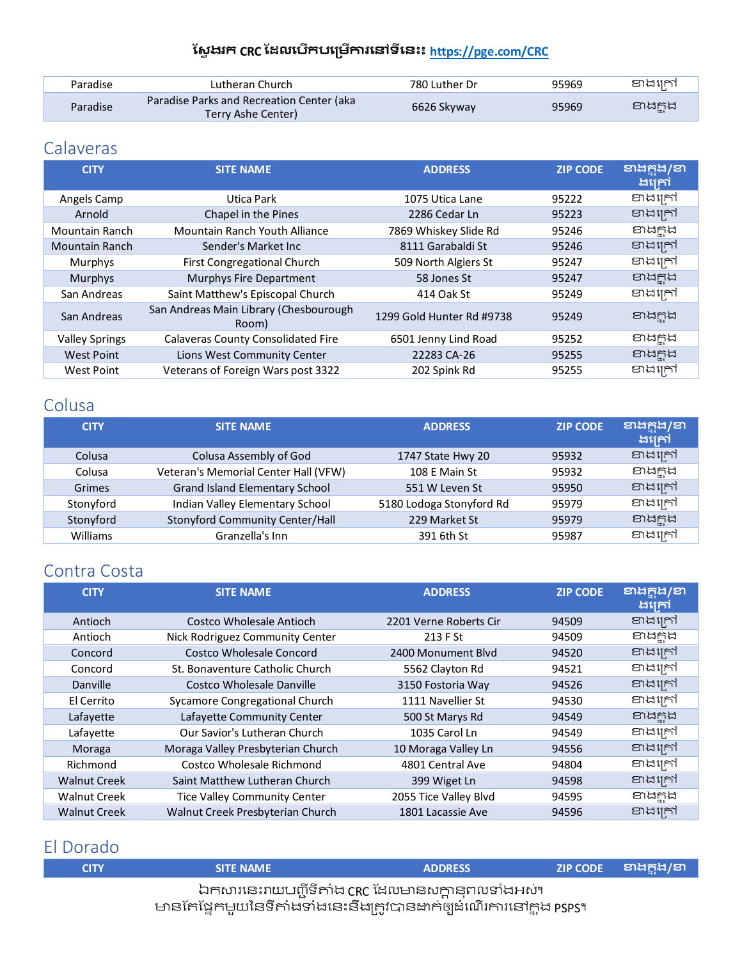| Paradise | Lutheran Church                                                 | 780 Luther Dr | 95969 | ខាងក្រៅ  |
|----------|-----------------------------------------------------------------|---------------|-------|----------|
| Paradise | Paradise Parks and Recreation Center (aka<br>Terry Ashe Center) | 6626 Skyway   | 95969 | ខាងក្ពុង |

## <span id="page-3-0"></span>**Calaveras**

| <b>CITY</b>           | <b>SITE NAME</b>                                | <b>ADDRESS</b>            | <b>ZIP CODE</b> | <b>ខាងក្នុង/ខា</b><br>ងគ្រៅ |
|-----------------------|-------------------------------------------------|---------------------------|-----------------|-----------------------------|
| Angels Camp           | Utica Park                                      | 1075 Utica Lane           | 95222           | ខាងក្រៅ                     |
| Arnold                | Chapel in the Pines                             | 2286 Cedar Ln             | 95223           | ខាងក្រៅ                     |
| Mountain Ranch        | Mountain Ranch Youth Alliance                   | 7869 Whiskey Slide Rd     | 95246           | ខាងក្នុង                    |
| <b>Mountain Ranch</b> | Sender's Market Inc                             | 8111 Garabaldi St         | 95246           | ខាងក្រៅ                     |
| Murphys               | <b>First Congregational Church</b>              | 509 North Algiers St      | 95247           | ខាងក្រៅ                     |
| <b>Murphys</b>        | Murphys Fire Department                         | 58 Jones St               | 95247           | ខាងក្ពុង                    |
| San Andreas           | Saint Matthew's Episcopal Church                | 414 Oak St                | 95249           | ខាងក្រៅ                     |
| San Andreas           | San Andreas Main Library (Chesbourough<br>Room) | 1299 Gold Hunter Rd #9738 | 95249           | ខាងកង                       |
| <b>Valley Springs</b> | <b>Calaveras County Consolidated Fire</b>       | 6501 Jenny Lind Road      | 95252           | ខាងក្នុង                    |
| <b>West Point</b>     | Lions West Community Center                     | 22283 CA-26               | 95255           | ខាងក្អុង                    |
| West Point            | Veterans of Foreign Wars post 3322              | 202 Spink Rd              | 95255           | ខាងក្រៅ                     |

# <span id="page-3-1"></span>Colusa

| <b>CITY</b> | <b>SITE NAME</b>                     | <b>ADDRESS</b>           | <b>ZIP CODE</b> | ខាងក្នុង/ខា<br>ងក្រៅ |
|-------------|--------------------------------------|--------------------------|-----------------|----------------------|
| Colusa      | Colusa Assembly of God               | 1747 State Hwy 20        | 95932           | ខាងក្រៅ              |
| Colusa      | Veteran's Memorial Center Hall (VFW) | 108 E Main St            | 95932           | ខាងក្ពុង             |
| Grimes      | Grand Island Elementary School       | 551 W Leven St           | 95950           | ខាងក្រៅ              |
| Stonyford   | Indian Valley Elementary School      | 5180 Lodoga Stonyford Rd | 95979           | ខាងក្រៅ              |
| Stonyford   | Stonyford Community Center/Hall      | 229 Market St            | 95979           | ខាងក្នុង             |
| Williams    | Granzella's Inn                      | 391 6th St               | 95987           | ខាងក្រៅ              |

# <span id="page-3-2"></span>Contra Costa

| <b>CITY</b>         | <b>SITE NAME</b>                    | <b>ADDRESS</b>         | <b>ZIP CODE</b> | ខាងក្នុង/ខា<br>ងគ្រៅ |
|---------------------|-------------------------------------|------------------------|-----------------|----------------------|
| Antioch             | Costco Wholesale Antioch            | 2201 Verne Roberts Cir | 94509           | ខាងក្រៅ              |
| Antioch             | Nick Rodriguez Community Center     | 213 F St               | 94509           | ខាងក្ពុង             |
| Concord             | <b>Costco Wholesale Concord</b>     | 2400 Monument Blyd     | 94520           | ខាងក្រៅ              |
| Concord             | St. Bonaventure Catholic Church     | 5562 Clayton Rd        | 94521           | ខាងក្រៅ              |
| Danville            | Costco Wholesale Danville           | 3150 Fostoria Way      | 94526           | ខាងក្រៅ              |
| El Cerrito          | Sycamore Congregational Church      | 1111 Navellier St      | 94530           | ខាងក្រៅ              |
| Lafayette           | Lafayette Community Center          | 500 St Marys Rd        | 94549           | ខាងក្នុង             |
| Lafayette           | Our Savior's Lutheran Church        | 1035 Carol Ln          | 94549           | ខាងក្រៅ              |
| Moraga              | Moraga Valley Presbyterian Church   | 10 Moraga Valley Ln    | 94556           | ខាងក្រៅ              |
| Richmond            | Costco Wholesale Richmond           | 4801 Central Ave       | 94804           | ខាងក្រៅ              |
| <b>Walnut Creek</b> | Saint Matthew Lutheran Church       | 399 Wiget Ln           | 94598           | ខាងក្រៅ              |
| <b>Walnut Creek</b> | <b>Tice Valley Community Center</b> | 2055 Tice Valley Blvd  | 94595           | ខាងក្អុង             |
| <b>Walnut Creek</b> | Walnut Creek Presbyterian Church    | 1801 Lacassie Ave      | 94596           | ខាងក្រៅ              |

### <span id="page-3-3"></span>El Dorado

| <b>CITY</b> | <b>SITE NAME</b>                                                                                                          | <b>ADDRESS</b> | ZIP CODE    වාසලිසි/වා \ |
|-------------|---------------------------------------------------------------------------------------------------------------------------|----------------|--------------------------|
|             | ឯកសារនេះរាយបញ្ជីទីតាំង CRC ដែលមានសក្តានុពលទាំងអស់។<br>មានតែផ្នែកមួយនៃទីតាំងទាំងនេះនឹងត្រូវបានងាក់ឲ្យដំណើរការនៅក្តុង psps។ |                |                          |
|             |                                                                                                                           |                |                          |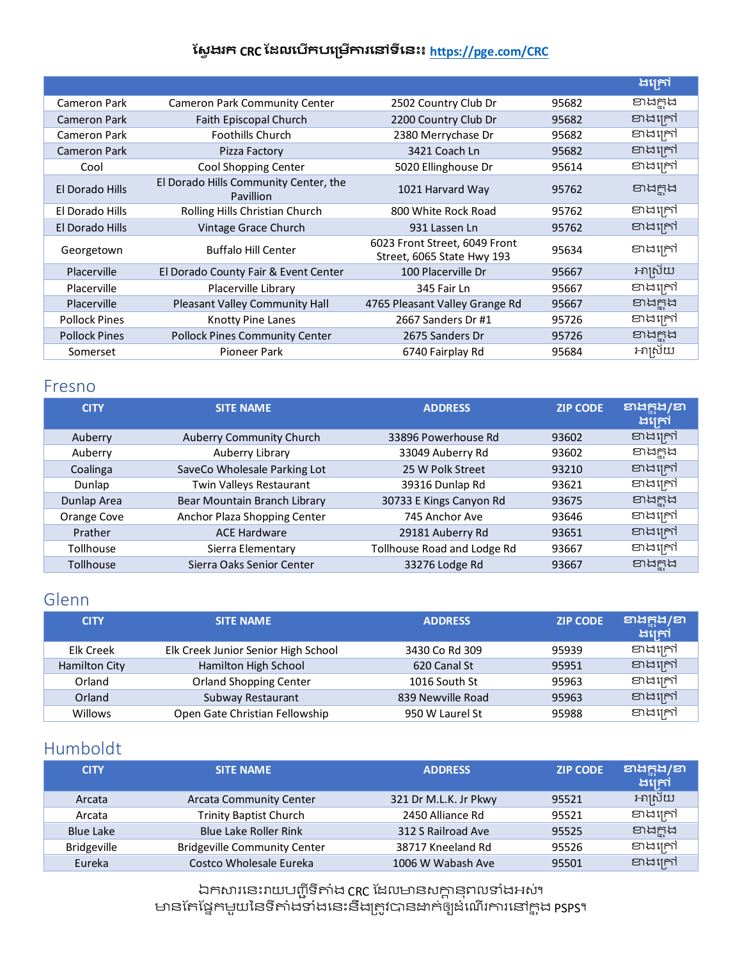|                      |                                                           |                                                             |       | ងគ្រៅ    |
|----------------------|-----------------------------------------------------------|-------------------------------------------------------------|-------|----------|
| Cameron Park         | <b>Cameron Park Community Center</b>                      | 2502 Country Club Dr                                        | 95682 | Endrid   |
| <b>Cameron Park</b>  | Faith Episcopal Church                                    | 2200 Country Club Dr                                        | 95682 | ខាងក្រៅ  |
| Cameron Park         | <b>Foothills Church</b>                                   | 2380 Merrychase Dr                                          | 95682 | ខាងក្រៅ  |
| <b>Cameron Park</b>  | Pizza Factory                                             | 3421 Coach Ln                                               | 95682 | ខាងក្រៅ  |
| Cool                 | Cool Shopping Center                                      | 5020 Ellinghouse Dr                                         | 95614 | ខាងក្រៅ  |
| El Dorado Hills      | El Dorado Hills Community Center, the<br><b>Pavillion</b> | 1021 Harvard Way                                            | 95762 | ខាងក្ពុង |
| El Dorado Hills      | Rolling Hills Christian Church                            | 800 White Rock Road                                         | 95762 | ខាងក្រៅ  |
| El Dorado Hills      | Vintage Grace Church                                      | 931 Lassen Ln                                               | 95762 | ខាងក្រៅ  |
| Georgetown           | <b>Buffalo Hill Center</b>                                | 6023 Front Street, 6049 Front<br>Street, 6065 State Hwy 193 | 95634 | ខាងក្រៅ  |
| <b>Placerville</b>   | El Dorado County Fair & Event Center                      | 100 Placerville Dr                                          | 95667 | អាស្រ័យ  |
| Placerville          | Placerville Library                                       | 345 Fair Ln                                                 | 95667 | ខាងក្រៅ  |
| <b>Placerville</b>   | Pleasant Valley Community Hall                            | 4765 Pleasant Valley Grange Rd                              | 95667 | ខាងក្ពុង |
| <b>Pollock Pines</b> | Knotty Pine Lanes                                         | 2667 Sanders Dr #1                                          | 95726 | ខាងក្រៅ  |
| <b>Pollock Pines</b> | <b>Pollock Pines Community Center</b>                     | 2675 Sanders Dr                                             | 95726 | ខាងក្ពុង |
| Somerset             | Pioneer Park                                              | 6740 Fairplay Rd                                            | 95684 | អាស្រ័យ  |

#### <span id="page-4-0"></span>Fresno

| <b>SITE NAME</b>                | <b>ADDRESS</b>              | <b>ZIP CODE</b> | ខាងក្តុង/ខា<br>ងក្រៅ |
|---------------------------------|-----------------------------|-----------------|----------------------|
| <b>Auberry Community Church</b> | 33896 Powerhouse Rd         | 93602           | ខាងក្រៅ              |
| Auberry Library                 | 33049 Auberry Rd            | 93602           | ខាងក្ពុង             |
| SaveCo Wholesale Parking Lot    | 25 W Polk Street            | 93210           | ខាងក្រៅ              |
| Twin Valleys Restaurant         | 39316 Dunlap Rd             | 93621           | ខាងក្រៅ              |
| Bear Mountain Branch Library    | 30733 E Kings Canyon Rd     | 93675           | ខាងក្នុង             |
| Anchor Plaza Shopping Center    | 745 Anchor Ave              | 93646           | ខាងក្រៅ              |
| <b>ACE Hardware</b>             | 29181 Auberry Rd            | 93651           | ខាងក្រៅ              |
| Sierra Elementary               | Tollhouse Road and Lodge Rd | 93667           | ខាងក្រៅ              |
| Sierra Oaks Senior Center       | 33276 Lodge Rd              | 93667           | <b>ENARA</b>         |
|                                 |                             |                 |                      |

### <span id="page-4-1"></span>Glenn

| <b>CITY</b>   | <b>SITE NAME</b>                    | <b>ADDRESS</b>    | <b>ZIP CODE</b> | ខាងក្តុង/ខា<br>ងគ្រៅ |
|---------------|-------------------------------------|-------------------|-----------------|----------------------|
| Elk Creek     | Elk Creek Junior Senior High School | 3430 Co Rd 309    | 95939           | ខាងក្រៅ              |
| Hamilton City | Hamilton High School                | 620 Canal St      | 95951           | ខាងក្រៅ              |
| Orland        | <b>Orland Shopping Center</b>       | 1016 South St     | 95963           | ខាងក្រៅ              |
| Orland        | Subway Restaurant                   | 839 Newville Road | 95963           | ខាងក្រៅ              |
| Willows       | Open Gate Christian Fellowship      | 950 W Laurel St   | 95988           | ខាងក្រៅ              |

# <span id="page-4-2"></span>Humboldt

| <b>CITY</b>      | <b>SITE NAME</b>                    | <b>ADDRESS</b>        | <b>ZIP CODE</b> | ខាងក្តុង/ខា<br> ងក្រៅ <sup> </sup> |
|------------------|-------------------------------------|-----------------------|-----------------|------------------------------------|
| Arcata           | <b>Arcata Community Center</b>      | 321 Dr M.L.K. Jr Pkwy | 95521           | អាស្រ័យ                            |
| Arcata           | <b>Trinity Baptist Church</b>       | 2450 Alliance Rd      | 95521           | ខាងក្រៅ                            |
| <b>Blue Lake</b> | <b>Blue Lake Roller Rink</b>        | 312 S Railroad Ave    | 95525           | ខាងក្ពុង                           |
| Bridgeville      | <b>Bridgeville Community Center</b> | 38717 Kneeland Rd     | 95526           | ខាងក្រៅ                            |
| Eureka           | Costco Wholesale Eureka             | 1006 W Wabash Ave     | 95501           | ខាងក្រៅ                            |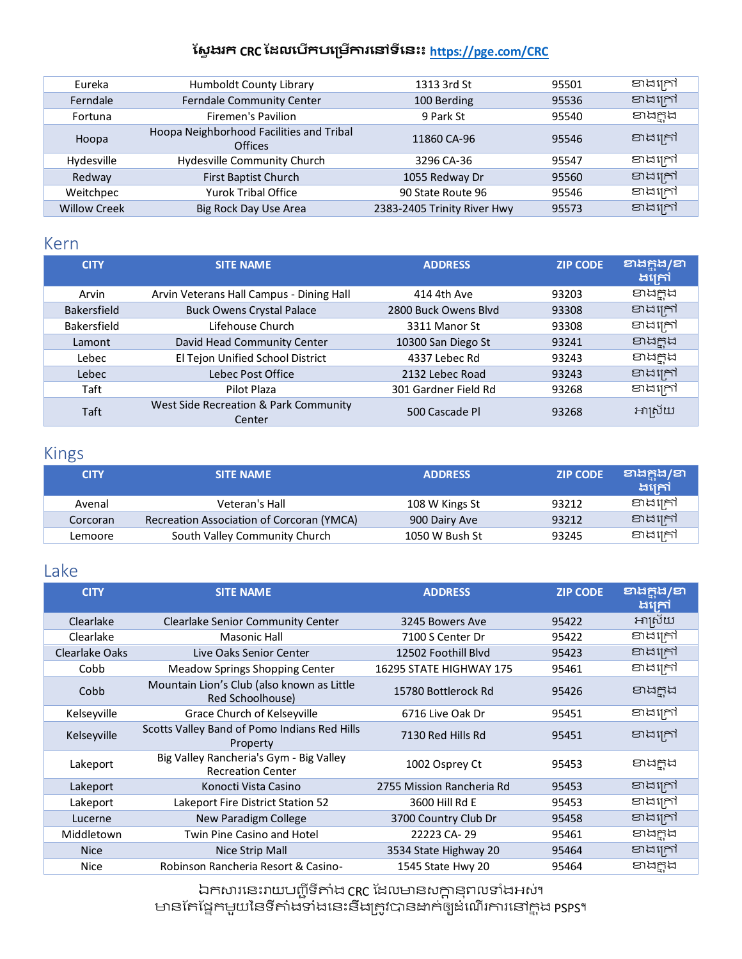| Eureka              | Humboldt County Library                                    | 1313 3rd St                 | 95501 | ខាងក្រៅ  |
|---------------------|------------------------------------------------------------|-----------------------------|-------|----------|
| Ferndale            | <b>Ferndale Community Center</b>                           | 100 Berding                 | 95536 | ខាងក្រៅ  |
| Fortuna             | Firemen's Pavilion                                         | 9 Park St                   | 95540 | ខាងក្នុង |
| Hoopa               | Hoopa Neighborhood Facilities and Tribal<br><b>Offices</b> | 11860 CA-96                 | 95546 | ខាងក្រៅ  |
| Hydesville          | Hydesville Community Church                                | 3296 CA-36                  | 95547 | ខាងក្រៅ  |
| Redway              | First Baptist Church                                       | 1055 Redway Dr              | 95560 | ខាងក្រៅ  |
| Weitchpec           | <b>Yurok Tribal Office</b>                                 | 90 State Route 96           | 95546 | ខាងក្រៅ  |
| <b>Willow Creek</b> | Big Rock Day Use Area                                      | 2383-2405 Trinity River Hwy | 95573 | ខាងក្រៅ  |

### <span id="page-5-0"></span>Kern

| <b>CITY</b>        | <b>SITE NAME</b>                                | <b>ADDRESS</b>       | <b>ZIP CODE</b> | ខាងក្តុង/ខា<br>ងក្រៅ |
|--------------------|-------------------------------------------------|----------------------|-----------------|----------------------|
| Arvin              | Arvin Veterans Hall Campus - Dining Hall        | 414 4th Ave          | 93203           | ខាងក្អុង             |
| <b>Bakersfield</b> | <b>Buck Owens Crystal Palace</b>                | 2800 Buck Owens Blyd | 93308           | ខាងក្រៅ              |
| Bakersfield        | Lifehouse Church                                | 3311 Manor St        | 93308           | ខាងក្រៅ              |
| Lamont             | David Head Community Center                     | 10300 San Diego St   | 93241           | andrin               |
| Lebec              | El Tejon Unified School District                | 4337 Lebec Rd        | 93243           | ខាងក្នុង             |
| Lebec              | Lebec Post Office                               | 2132 Lebec Road      | 93243           | ខាងក្រៅ              |
| Taft               | Pilot Plaza                                     | 301 Gardner Field Rd | 93268           | ខាងក្រៅ              |
| Taft               | West Side Recreation & Park Community<br>Center | 500 Cascade Pl       | 93268           | អាស្រ័យ              |

## <span id="page-5-1"></span>Kings

| <b>CITY</b> | <b>SITE NAME</b>                          | <b>ADDRESS</b> | <b>ZIP CODE</b> | ខាងក្តុង/ខា<br>ងគ្រៅ |
|-------------|-------------------------------------------|----------------|-----------------|----------------------|
| Avenal      | Veteran's Hall                            | 108 W Kings St | 93212           | ខាងក្រៅ              |
| Corcoran    | Recreation Association of Corcoran (YMCA) | 900 Dairy Ave  | 93212           | ខាងក្រៅ              |
| Lemoore     | South Valley Community Church             | 1050 W Bush St | 93245           | ខាងក្រៅ              |

### <span id="page-5-2"></span>Lake

| <b>CITY</b>    | <b>SITE NAME</b>                                                    | <b>ADDRESS</b>            | <b>ZIP CODE</b> | ខាងក្នុង/ខា<br>ងក្រៅ |
|----------------|---------------------------------------------------------------------|---------------------------|-----------------|----------------------|
| Clearlake      | <b>Clearlake Senior Community Center</b>                            | 3245 Bowers Ave           | 95422           | អាស្រ័យ              |
| Clearlake      | <b>Masonic Hall</b>                                                 | 7100 S Center Dr          | 95422           | ខាងក្រៅ              |
| Clearlake Oaks | Live Oaks Senior Center                                             | 12502 Foothill Blyd       | 95423           | ខាងក្រៅ              |
| Cobb           | <b>Meadow Springs Shopping Center</b>                               | 16295 STATE HIGHWAY 175   | 95461           | ខាងក្រៅ              |
| Cobb           | Mountain Lion's Club (also known as Little<br>Red Schoolhouse)      | 15780 Bottlerock Rd       | 95426           | ខាងក្ពុង             |
| Kelseyville    | Grace Church of Kelseyville                                         | 6716 Live Oak Dr          | 95451           | ខាងក្រៅ              |
| Kelseyville    | Scotts Valley Band of Pomo Indians Red Hills<br>Property            | 7130 Red Hills Rd         | 95451           | ខាងក្រៅ              |
| Lakeport       | Big Valley Rancheria's Gym - Big Valley<br><b>Recreation Center</b> | 1002 Osprey Ct            | 95453           | ខាងក្ពុង             |
| Lakeport       | Konocti Vista Casino                                                | 2755 Mission Rancheria Rd | 95453           | ខាងក្រៅ              |
| Lakeport       | <b>Lakeport Fire District Station 52</b>                            | 3600 Hill Rd E            | 95453           | ខាងក្រៅ              |
| Lucerne        | New Paradigm College                                                | 3700 Country Club Dr      | 95458           | ខាងក្រៅ              |
| Middletown     | <b>Twin Pine Casino and Hotel</b>                                   | 22223 CA-29               | 95461           | ខាងក្ពុង             |
| <b>Nice</b>    | Nice Strip Mall                                                     | 3534 State Highway 20     | 95464           | ខាងក្រៅ              |
| Nice           | Robinson Rancheria Resort & Casino-                                 | 1545 State Hwy 20         | 95464           | ខាងក្ពុង             |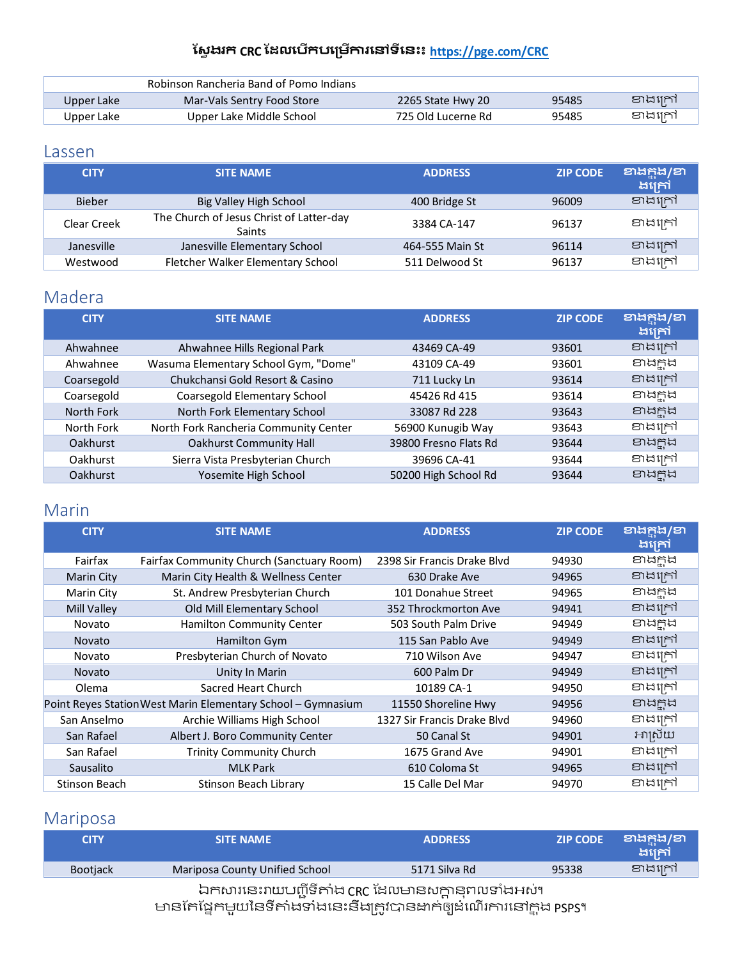|            | Robinson Rancheria Band of Pomo Indians |                    |       |         |
|------------|-----------------------------------------|--------------------|-------|---------|
| Upper Lake | Mar-Vals Sentry Food Store              | 2265 State Hwy 20  | 95485 | ខាងក្រៅ |
| Upper Lake | Upper Lake Middle School                | 725 Old Lucerne Rd | 95485 | ខាងក្រៅ |

### <span id="page-6-0"></span>Lassen

| <b>CITY</b>   | <b>SITE NAME</b>                                   | <b>ADDRESS</b>  | <b>ZIP CODE</b> | ខាងក្តុង/ខា<br>ងក្រៅ |
|---------------|----------------------------------------------------|-----------------|-----------------|----------------------|
| <b>Bieber</b> | Big Valley High School                             | 400 Bridge St   | 96009           | ខាងក្រៅ              |
| Clear Creek   | The Church of Jesus Christ of Latter-day<br>Saints | 3384 CA-147     | 96137           | ខាងក្រៅ              |
| Janesville    | Janesville Elementary School                       | 464-555 Main St | 96114           | ខាងក្រៅ              |
| Westwood      | Fletcher Walker Elementary School                  | 511 Delwood St  | 96137           | ខាងក្រៅ              |

# <span id="page-6-1"></span>Madera

| <b>CITY</b>     | <b>SITE NAME</b>                      | <b>ADDRESS</b>        | <b>ZIP CODE</b> | ខាងក្តុង/ខា<br>ងក្រៅ |
|-----------------|---------------------------------------|-----------------------|-----------------|----------------------|
| Ahwahnee        | Ahwahnee Hills Regional Park          | 43469 CA-49           | 93601           | ខាងក្រៅ              |
| Ahwahnee        | Wasuma Elementary School Gym, "Dome"  | 43109 CA-49           | 93601           | ខាងក្ពុង             |
| Coarsegold      | Chukchansi Gold Resort & Casino       | 711 Lucky Ln          | 93614           | ខាងក្រៅ              |
| Coarsegold      | Coarsegold Elementary School          | 45426 Rd 415          | 93614           | ខាងក្ពុង             |
| North Fork      | North Fork Elementary School          | 33087 Rd 228          | 93643           | ខាងក្នុង             |
| North Fork      | North Fork Rancheria Community Center | 56900 Kunugib Way     | 93643           | ខាងក្រៅ              |
| <b>Oakhurst</b> | <b>Oakhurst Community Hall</b>        | 39800 Fresno Flats Rd | 93644           | ខាងក្អុង             |
| <b>Oakhurst</b> | Sierra Vista Presbyterian Church      | 39696 CA-41           | 93644           | ខាងក្រៅ              |
| <b>Oakhurst</b> | Yosemite High School                  | 50200 High School Rd  | 93644           | ខាងក្ពុង             |

# <span id="page-6-2"></span>Marin

| <b>CITY</b>       | <b>SITE NAME</b>                                             | <b>ADDRESS</b>              | <b>ZIP CODE</b> | ខាងក្តុង/ខា<br>ងក្រៅ |
|-------------------|--------------------------------------------------------------|-----------------------------|-----------------|----------------------|
| Fairfax           | Fairfax Community Church (Sanctuary Room)                    | 2398 Sir Francis Drake Blvd | 94930           | ខាងក្អុង             |
| <b>Marin City</b> | Marin City Health & Wellness Center                          | 630 Drake Ave               | 94965           | ខាងក្រៅ              |
| Marin City        | St. Andrew Presbyterian Church                               | 101 Donahue Street          | 94965           | ខាងក្ពុង             |
| Mill Valley       | Old Mill Elementary School                                   | 352 Throckmorton Ave        | 94941           | ខាងក្រៅ              |
| Novato            | Hamilton Community Center                                    | 503 South Palm Drive        | 94949           | ខាងក្ពុង             |
| <b>Novato</b>     | Hamilton Gym                                                 | 115 San Pablo Ave           | 94949           | ខាងក្រៅ              |
| Novato            | Presbyterian Church of Novato                                | 710 Wilson Ave              | 94947           | ខាងក្រៅ              |
| <b>Novato</b>     | Unity In Marin                                               | 600 Palm Dr                 | 94949           | ខាងក្រៅ              |
| Olema             | Sacred Heart Church                                          | 10189 CA-1                  | 94950           | ខាងក្រៅ              |
|                   | Point Reyes Station West Marin Elementary School - Gymnasium | 11550 Shoreline Hwy         | 94956           | ខាងក្នុង             |
| San Anselmo       | Archie Williams High School                                  | 1327 Sir Francis Drake Blyd | 94960           | ខាងក្រៅ              |
| San Rafael        | Albert J. Boro Community Center                              | 50 Canal St                 | 94901           | អាស្រ័យ              |
| San Rafael        | <b>Trinity Community Church</b>                              | 1675 Grand Ave              | 94901           | ខាងក្រៅ              |
| Sausalito         | <b>MLK Park</b>                                              | 610 Coloma St               | 94965           | ខាងក្រៅ              |
| Stinson Beach     | Stinson Beach Library                                        | 15 Calle Del Mar            | 94970           | ខាងក្រៅ              |

# <span id="page-6-3"></span>Mariposa

| <b>CITY</b>                                        | <b>SITE NAME</b>               | <b>ADDRESS</b> | <b>ZIP CODE</b> | වාය <u>ප</u> ිය /ව<br>ងក្រៅ |  |
|----------------------------------------------------|--------------------------------|----------------|-----------------|-----------------------------|--|
| <b>Bootjack</b>                                    | Mariposa County Unified School | 5171 Silva Rd  | 95338           | ខាងក្រៅ                     |  |
| ឯកសារនេះរាយបញ្ញីទីតាំង CRC ដែលមានសក្តានុពលទាំងអស់។ |                                |                |                 |                             |  |

មានកែផ្នែកមួយនៃទីតាំងទាំងនេះនឹងត្រូវបានដាក់ឲ្យដំណើរការនៅក្តុង PSPS។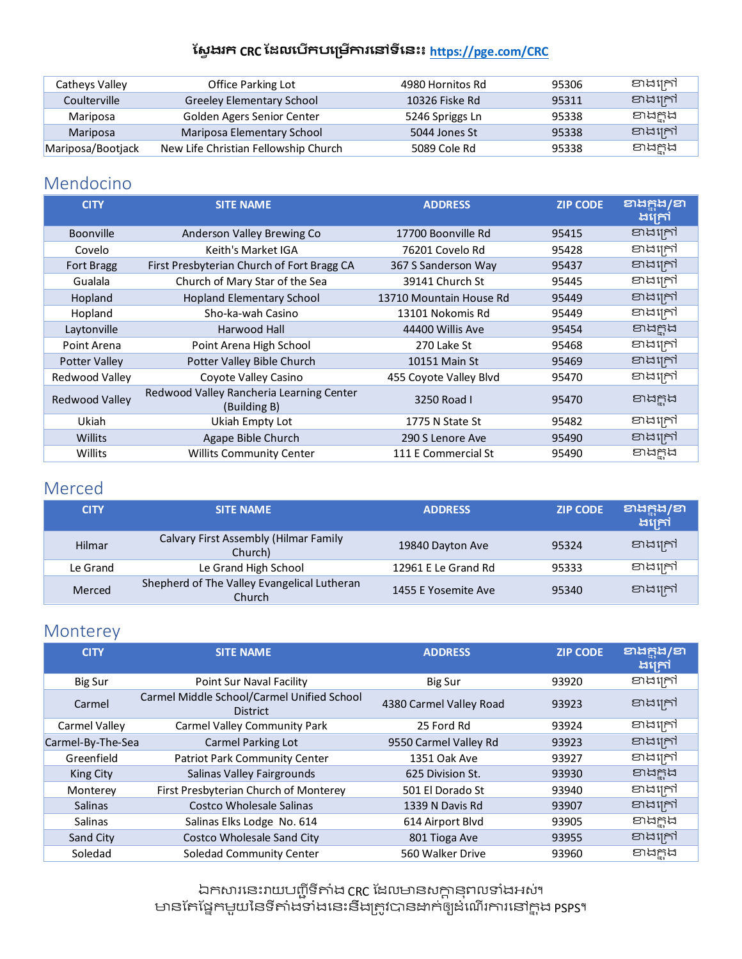| Catheys Valley    | Office Parking Lot                   | 4980 Hornitos Rd | 95306 | ខាងក្រៅ  |
|-------------------|--------------------------------------|------------------|-------|----------|
| Coulterville      | <b>Greeley Elementary School</b>     | 10326 Fiske Rd   | 95311 | ខាងក្រៅ  |
| Mariposa          | Golden Agers Senior Center           | 5246 Spriggs Ln  | 95338 | ខាងក្ពុង |
| Mariposa          | Mariposa Elementary School           | 5044 Jones St    | 95338 | ខាងក្រៅ  |
| Mariposa/Bootjack | New Life Christian Fellowship Church | 5089 Cole Rd     | 95338 | ខាងក្នុង |

### <span id="page-7-0"></span>Mendocino

| <b>CITY</b>       | <b>SITE NAME</b>                                         | <b>ADDRESS</b>          | <b>ZIP CODE</b> | <b>ខាងក្នុង/ខា</b><br>ងក្រៅ |
|-------------------|----------------------------------------------------------|-------------------------|-----------------|-----------------------------|
| <b>Boonville</b>  | Anderson Valley Brewing Co                               | 17700 Boonville Rd      | 95415           | ខាងក្រៅ                     |
| Covelo            | Keith's Market IGA                                       | 76201 Covelo Rd         | 95428           | ខាងក្រៅ                     |
| <b>Fort Bragg</b> | First Presbyterian Church of Fort Bragg CA               | 367 S Sanderson Way     | 95437           | ខាងក្រៅ                     |
| Gualala           | Church of Mary Star of the Sea                           | 39141 Church St         | 95445           | ខាងក្រៅ                     |
| Hopland           | <b>Hopland Elementary School</b>                         | 13710 Mountain House Rd | 95449           | ខាងក្រៅ                     |
| Hopland           | Sho-ka-wah Casino                                        | 13101 Nokomis Rd        | 95449           | ខាងក្រៅ                     |
| Laytonville       | Harwood Hall                                             | 44400 Willis Ave        | 95454           | ខាងក្នុង                    |
| Point Arena       | Point Arena High School                                  | 270 Lake St             | 95468           | ខាងក្រៅ                     |
| Potter Valley     | Potter Valley Bible Church                               | 10151 Main St           | 95469           | ខាងក្រៅ                     |
| Redwood Valley    | Coyote Valley Casino                                     | 455 Coyote Valley Blvd  | 95470           | ខាងក្រៅ                     |
| Redwood Valley    | Redwood Valley Rancheria Learning Center<br>(Building B) | 3250 Road L             | 95470           | ខាងក្ពុង                    |
| Ukiah             | Ukiah Empty Lot                                          | 1775 N State St         | 95482           | ខាងក្រៅ                     |
| Willits           | Agape Bible Church                                       | 290 S Lenore Ave        | 95490           | ខាងក្រៅ                     |
| Willits           | <b>Willits Community Center</b>                          | 111 E Commercial St     | 95490           | ខាងក្ពុង                    |

### <span id="page-7-1"></span>Merced

| <b>CITY</b>   | <b>SITE NAME</b>                                      | <b>ADDRESS</b>      | <b>ZIP CODE</b> | ខាងក្តុង/ខា<br>ងគ្រៅ |
|---------------|-------------------------------------------------------|---------------------|-----------------|----------------------|
| <b>Hilmar</b> | Calvary First Assembly (Hilmar Family<br>Church)      | 19840 Dayton Ave    | 95324           | ខាងក្រៅ              |
| Le Grand      | Le Grand High School                                  | 12961 E Le Grand Rd | 95333           | ខាងក្រៅ              |
| Merced        | Shepherd of The Valley Evangelical Lutheran<br>Church | 1455 E Yosemite Ave | 95340           | ខាងក្រៅ              |

# <span id="page-7-2"></span>Monterey

| <b>CITY</b>          | <b>SITE NAME</b>                                              | <b>ADDRESS</b>          | <b>ZIP CODE</b> | ខាងក្តុង/ខា<br>ងក្រៅ |
|----------------------|---------------------------------------------------------------|-------------------------|-----------------|----------------------|
| Big Sur              | Point Sur Naval Facility                                      | Big Sur                 | 93920           | ខាងក្រៅ              |
| Carmel               | Carmel Middle School/Carmel Unified School<br><b>District</b> | 4380 Carmel Valley Road | 93923           | ខាងក្រៅ              |
| <b>Carmel Valley</b> | <b>Carmel Valley Community Park</b>                           | 25 Ford Rd              | 93924           | ខាងក្រៅ              |
| Carmel-By-The-Sea    | Carmel Parking Lot                                            | 9550 Carmel Valley Rd   | 93923           | ខាងក្រៅ              |
| Greenfield           | <b>Patriot Park Community Center</b>                          | 1351 Oak Ave            | 93927           | ខាងក្រៅ              |
| King City            | Salinas Valley Fairgrounds                                    | 625 Division St.        | 93930           | ខាងក្នុង             |
| Monterey             | First Presbyterian Church of Monterey                         | 501 El Dorado St        | 93940           | ខាងក្រៅ              |
| <b>Salinas</b>       | <b>Costco Wholesale Salinas</b>                               | 1339 N Davis Rd         | 93907           | ខាងក្រៅ              |
| Salinas              | Salinas Elks Lodge No. 614                                    | 614 Airport Blvd        | 93905           | ខាងក្នុង             |
| Sand City            | <b>Costco Wholesale Sand City</b>                             | 801 Tioga Ave           | 93955           | ខាងក្រៅ              |
| Soledad              | <b>Soledad Community Center</b>                               | 560 Walker Drive        | 93960           | ខាងក្តុង             |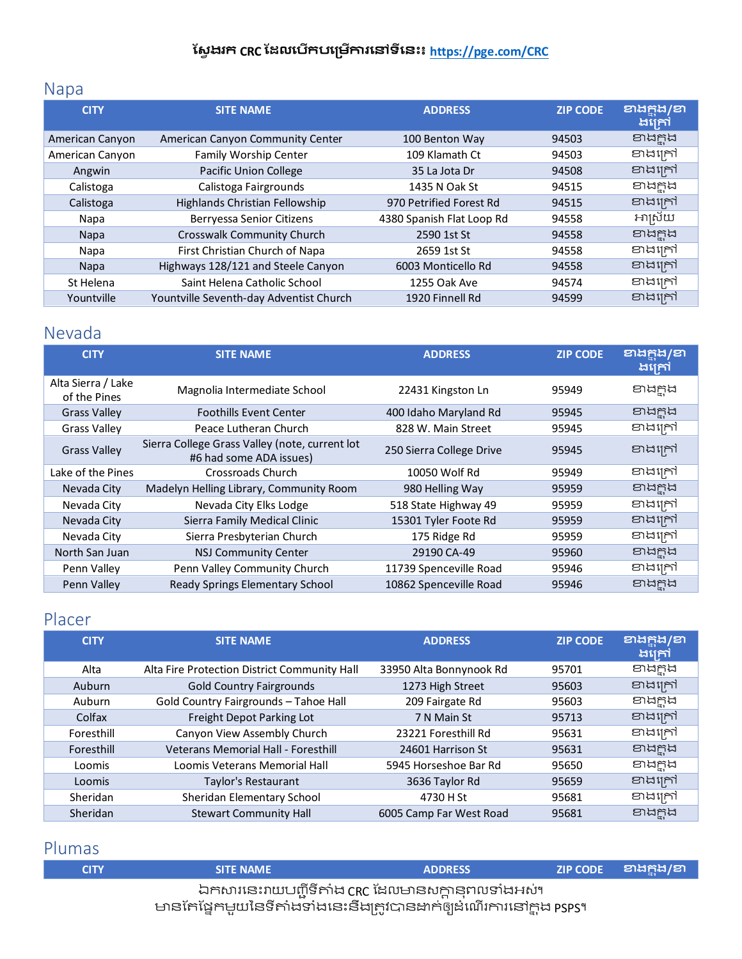# <span id="page-8-0"></span>Napa

| <b>CITY</b>     | <b>SITE NAME</b>                        | <b>ADDRESS</b>            | <b>ZIP CODE</b> | <b>ខាង</b> ក្នុង/ខា<br>ងគ្រៅ |
|-----------------|-----------------------------------------|---------------------------|-----------------|------------------------------|
| American Canyon | American Canyon Community Center        | 100 Benton Way            | 94503           | ខាងក្ពុង                     |
| American Canyon | Family Worship Center                   | 109 Klamath Ct            | 94503           | ខាងក្រៅ                      |
| Angwin          | <b>Pacific Union College</b>            | 35 La Jota Dr             | 94508           | ខាងក្រៅ                      |
| Calistoga       | Calistoga Fairgrounds                   | 1435 N Oak St             | 94515           | ខាងក្នុង                     |
| Calistoga       | Highlands Christian Fellowship          | 970 Petrified Forest Rd   | 94515           | ខាងក្រៅ                      |
| Napa            | Berryessa Senior Citizens               | 4380 Spanish Flat Loop Rd | 94558           | អាស្រ័យ                      |
| <b>Napa</b>     | Crosswalk Community Church              | 2590 1st St               | 94558           | ខាងក្នុង                     |
| Napa            | First Christian Church of Napa          | 2659 1st St               | 94558           | ខាងក្រៅ                      |
| <b>Napa</b>     | Highways 128/121 and Steele Canyon      | 6003 Monticello Rd        | 94558           | ខាងក្រៅ                      |
| St Helena       | Saint Helena Catholic School            | 1255 Oak Ave              | 94574           | ខាងក្រៅ                      |
| Yountville      | Yountville Seventh-day Adventist Church | 1920 Finnell Rd           | 94599           | ខាងក្រៅ                      |

## <span id="page-8-1"></span>Nevada

| <b>CITY</b>                        | <b>SITE NAME</b>                                                          | <b>ADDRESS</b>           | <b>ZIP CODE</b> | ខាងក្នុង/ខា<br>ងគ្រៅ |
|------------------------------------|---------------------------------------------------------------------------|--------------------------|-----------------|----------------------|
| Alta Sierra / Lake<br>of the Pines | Magnolia Intermediate School                                              | 22431 Kingston Ln        | 95949           | ខាងក្នុង             |
| <b>Grass Valley</b>                | <b>Foothills Event Center</b>                                             | 400 Idaho Maryland Rd    | 95945           | ខាងក្អុង             |
| <b>Grass Valley</b>                | Peace Lutheran Church                                                     | 828 W. Main Street       | 95945           | ខាងក្រៅ              |
| <b>Grass Valley</b>                | Sierra College Grass Valley (note, current lot<br>#6 had some ADA issues) | 250 Sierra College Drive | 95945           | ខាងក្រៅ              |
| Lake of the Pines                  | Crossroads Church                                                         | 10050 Wolf Rd            | 95949           | ខាងក្រៅ              |
| Nevada City                        | Madelyn Helling Library, Community Room                                   | 980 Helling Way          | 95959           | ខាងក្នុង             |
| Nevada City                        | Nevada City Elks Lodge                                                    | 518 State Highway 49     | 95959           | ខាងក្រៅ              |
| Nevada City                        | Sierra Family Medical Clinic                                              | 15301 Tyler Foote Rd     | 95959           | ខាងក្រៅ              |
| Nevada City                        | Sierra Presbyterian Church                                                | 175 Ridge Rd             | 95959           | ខាងក្រៅ              |
| North San Juan                     | <b>NSJ Community Center</b>                                               | 29190 CA-49              | 95960           | Endrid               |
| Penn Valley                        | Penn Valley Community Church                                              | 11739 Spenceville Road   | 95946           | ខាងក្រៅ              |
| Penn Valley                        | Ready Springs Elementary School                                           | 10862 Spenceville Road   | 95946           | ខាងកង                |

# <span id="page-8-2"></span>Placer

| <b>CITY</b> | <b>SITE NAME</b>                             | <b>ADDRESS</b>          | <b>ZIP CODE</b> | ខាងក្តុង/ខា<br>ងគ្រៅ |
|-------------|----------------------------------------------|-------------------------|-----------------|----------------------|
| Alta        | Alta Fire Protection District Community Hall | 33950 Alta Bonnynook Rd | 95701           | ខាងក្អុង             |
| Auburn      | <b>Gold Country Fairgrounds</b>              | 1273 High Street        | 95603           | ខាងក្រៅ              |
| Auburn      | Gold Country Fairgrounds - Tahoe Hall        | 209 Fairgate Rd         | 95603           | ខាងក្អុង             |
| Colfax      | Freight Depot Parking Lot                    | 7 N Main St             | 95713           | ខាងក្រៅ              |
| Foresthill  | Canyon View Assembly Church                  | 23221 Foresthill Rd     | 95631           | ខាងក្រៅ              |
| Foresthill  | Veterans Memorial Hall - Foresthill          | 24601 Harrison St       | 95631           | ខាងក្នុង             |
| Loomis      | Loomis Veterans Memorial Hall                | 5945 Horseshoe Bar Rd   | 95650           | ខាងក្នុង             |
| Loomis      | Taylor's Restaurant                          | 3636 Taylor Rd          | 95659           | ខាងក្រៅ              |
| Sheridan    | Sheridan Elementary School                   | 4730 H St               | 95681           | ខាងក្រៅ              |
| Sheridan    | <b>Stewart Community Hall</b>                | 6005 Camp Far West Road | 95681           | andrin               |

# <span id="page-8-3"></span>Plumas

| <b>CITY</b>                                        | <b>SITE NAME</b>                                                    | <b>ADDRESS</b> |  | <b>ZIP CODE 의ងក្នុង/ខា</b> |
|----------------------------------------------------|---------------------------------------------------------------------|----------------|--|----------------------------|
| ឯកសារនេះរាយបញ្ជីទីតាំង CRC ដែលមានសក្តានុពលទាំងអស់។ |                                                                     |                |  |                            |
|                                                    | មានកែផ្នែកមួយនៃទីតាំងទាំងនេះនឹងត្រូវបានដាក់ឲ្យដំណើរការនៅក្នុង psps។ |                |  |                            |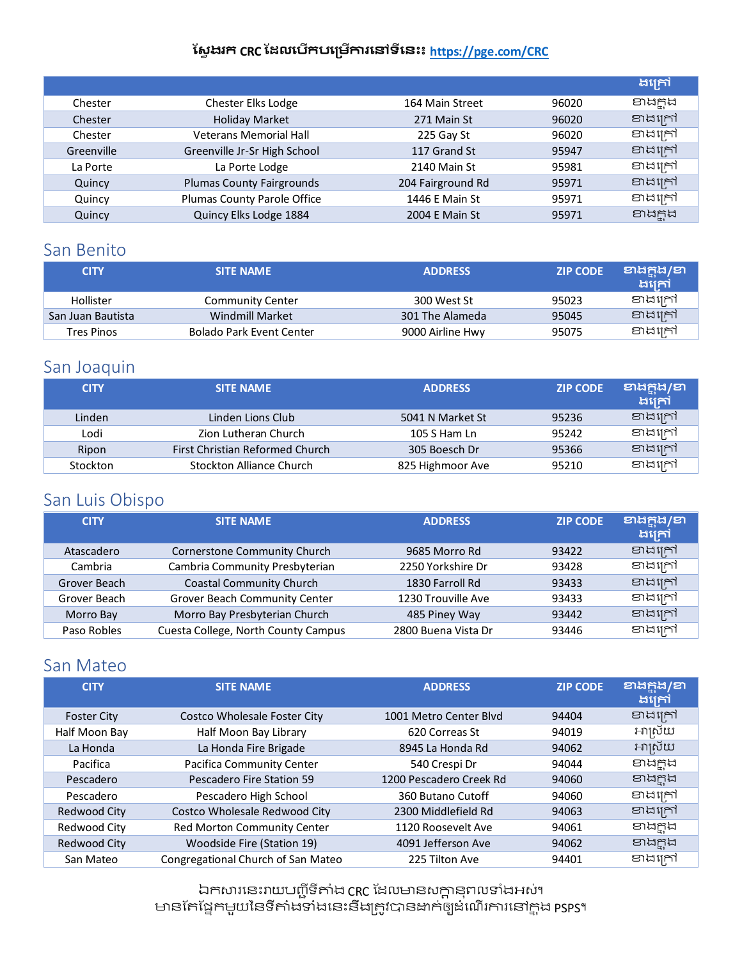|            |                                  |                   |       | ងគ្រៅ    |
|------------|----------------------------------|-------------------|-------|----------|
| Chester    | Chester Elks Lodge               | 164 Main Street   | 96020 | ខាងក្នុង |
| Chester    | <b>Holiday Market</b>            | 271 Main St       | 96020 | ខាងក្រៅ  |
| Chester    | <b>Veterans Memorial Hall</b>    | 225 Gay St        | 96020 | ខាងក្រៅ  |
| Greenville | Greenville Jr-Sr High School     | 117 Grand St      | 95947 | ខាងក្រៅ  |
| La Porte   | La Porte Lodge                   | 2140 Main St      | 95981 | ខាងក្រៅ  |
| Quincy     | <b>Plumas County Fairgrounds</b> | 204 Fairground Rd | 95971 | ខាងក្រៅ  |
| Quincy     | Plumas County Parole Office      | 1446 E Main St    | 95971 | ខាងក្រៅ  |
| Quincy     | Quincy Elks Lodge 1884           | 2004 E Main St    | 95971 | ខាងក្ពុង |

## <span id="page-9-0"></span>San Benito

| <b>CITY</b>       | <b>SITE NAME</b>                | <b>ADDRESS</b>   | <b>ZIP CODE</b> | වාස් පූසි/වා<br>ងក្រៅ |
|-------------------|---------------------------------|------------------|-----------------|-----------------------|
| Hollister         | <b>Community Center</b>         | 300 West St      | 95023           | ខាងក្រៅ               |
| San Juan Bautista | Windmill Market                 | 301 The Alameda  | 95045           | ខាងក្រៅ               |
| Tres Pinos        | <b>Bolado Park Event Center</b> | 9000 Airline Hwy | 95075           | ខាងក្រៅ               |

### <span id="page-9-1"></span>San Joaquin

| <b>CITY</b> | <b>SITE NAME</b>                | <b>ADDRESS</b>   | <b>ZIP CODE</b> | ខាងក្នុង/ខា<br>ងគ្រៅ |
|-------------|---------------------------------|------------------|-----------------|----------------------|
| Linden      | Linden Lions Club               | 5041 N Market St | 95236           | ខាងក្រៅ              |
| Lodi        | Zion Lutheran Church            | 105 S Ham Ln     | 95242           | ខាងក្រៅ              |
| Ripon       | First Christian Reformed Church | 305 Boesch Dr    | 95366           | ខាងក្រៅ              |
| Stockton    | Stockton Alliance Church        | 825 Highmoor Ave | 95210           | ខាងក្រៅ              |

### <span id="page-9-2"></span>San Luis Obispo

| <b>CITY</b>  | <b>SITE NAME</b>                    | <b>ADDRESS</b>      | <b>ZIP CODE</b> | <b>ខាង</b> ក្នុង/ខា<br>ងគ្រៅ |
|--------------|-------------------------------------|---------------------|-----------------|------------------------------|
| Atascadero   | Cornerstone Community Church        | 9685 Morro Rd       | 93422           | ខាងក្រៅ                      |
| Cambria      | Cambria Community Presbyterian      | 2250 Yorkshire Dr   | 93428           | ខាងក្រៅ                      |
| Grover Beach | <b>Coastal Community Church</b>     | 1830 Farroll Rd     | 93433           | ខាងក្រៅ                      |
| Grover Beach | Grover Beach Community Center       | 1230 Trouville Ave  | 93433           | ខាងក្រៅ                      |
| Morro Bay    | Morro Bay Presbyterian Church       | 485 Piney Way       | 93442           | ខាងក្រៅ                      |
| Paso Robles  | Cuesta College, North County Campus | 2800 Buena Vista Dr | 93446           | ខាងក្រៅ                      |

### <span id="page-9-3"></span>San Mateo

| <b>CITY</b>        | <b>SITE NAME</b>                   | <b>ADDRESS</b>          | <b>ZIP CODE</b> | <b>ខាងក្នុង/ខា</b><br>ងគ្រៅ |
|--------------------|------------------------------------|-------------------------|-----------------|-----------------------------|
| <b>Foster City</b> | Costco Wholesale Foster City       | 1001 Metro Center Blyd  | 94404           | ខាងក្រៅ                     |
| Half Moon Bay      | Half Moon Bay Library              | 620 Correas St          | 94019           | អាស្រ័យ                     |
| La Honda           | La Honda Fire Brigade              | 8945 La Honda Rd        | 94062           | អាស្រ័យ                     |
| Pacifica           | Pacifica Community Center          | 540 Crespi Dr           | 94044           | ខាងក្នុង                    |
| Pescadero          | Pescadero Fire Station 59          | 1200 Pescadero Creek Rd | 94060           | ខាងក្នុង                    |
| Pescadero          | Pescadero High School              | 360 Butano Cutoff       | 94060           | ខាងក្រៅ                     |
| Redwood City       | Costco Wholesale Redwood City      | 2300 Middlefield Rd     | 94063           | ខាងក្រៅ                     |
| Redwood City       | Red Morton Community Center        | 1120 Roosevelt Ave      | 94061           | ខាងក្នុង                    |
| Redwood City       | <b>Woodside Fire (Station 19)</b>  | 4091 Jefferson Ave      | 94062           | ខាងក្នុង                    |
| San Mateo          | Congregational Church of San Mateo | 225 Tilton Ave          | 94401           | ខាងក្រៅ                     |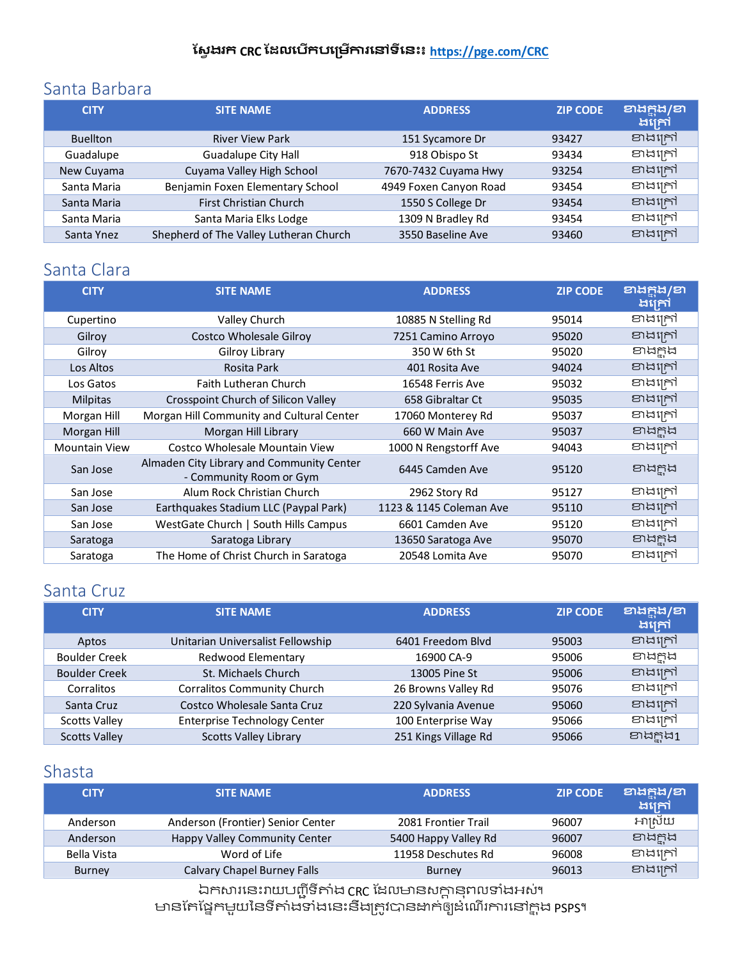### <span id="page-10-0"></span>Santa Barbara

| <b>CITY</b>     | <b>SITE NAME</b>                       | <b>ADDRESS</b>         | <b>ZIP CODE</b> | ខាងក្តុង/ខា<br>ងគ្រៅ |
|-----------------|----------------------------------------|------------------------|-----------------|----------------------|
| <b>Buellton</b> | <b>River View Park</b>                 | 151 Sycamore Dr        | 93427           | ខាងក្រៅ              |
| Guadalupe       | <b>Guadalupe City Hall</b>             | 918 Obispo St          | 93434           | ខាងក្រៅ              |
| New Cuyama      | Cuyama Valley High School              | 7670-7432 Cuyama Hwy   | 93254           | ខាងក្រៅ              |
| Santa Maria     | Benjamin Foxen Elementary School       | 4949 Foxen Canyon Road | 93454           | ខាងក្រៅ              |
| Santa Maria     | <b>First Christian Church</b>          | 1550 S College Dr      | 93454           | ខាងក្រៅ              |
| Santa Maria     | Santa Maria Elks Lodge                 | 1309 N Bradley Rd      | 93454           | ខាងក្រៅ              |
| Santa Ynez      | Shepherd of The Valley Lutheran Church | 3550 Baseline Ave      | 93460           | ខាងក្រៅ              |

## <span id="page-10-1"></span>Santa Clara

| <b>CITY</b>          | <b>SITE NAME</b>                                                     | <b>ADDRESS</b>          | <b>ZIP CODE</b> | වාසිසි/වා<br>ងគ្រៅ |
|----------------------|----------------------------------------------------------------------|-------------------------|-----------------|--------------------|
| Cupertino            | Valley Church                                                        | 10885 N Stelling Rd     | 95014           | ខាងក្រៅ            |
| Gilroy               | <b>Costco Wholesale Gilroy</b>                                       | 7251 Camino Arroyo      | 95020           | ខាងក្រៅ            |
| Gilroy               | Gilroy Library                                                       | 350 W 6th St            | 95020           | ខាងក្ពុង           |
| Los Altos            | Rosita Park                                                          | 401 Rosita Ave          | 94024           | ខាងក្រៅ            |
| Los Gatos            | <b>Faith Lutheran Church</b>                                         | 16548 Ferris Ave        | 95032           | ខាងក្រៅ            |
| <b>Milpitas</b>      | Crosspoint Church of Silicon Valley                                  | 658 Gibraltar Ct        | 95035           | ខាងក្រៅ            |
| Morgan Hill          | Morgan Hill Community and Cultural Center                            | 17060 Monterey Rd       | 95037           | ខាងក្រៅ            |
| Morgan Hill          | Morgan Hill Library                                                  | 660 W Main Ave          | 95037           | ខាងក្នុង           |
| <b>Mountain View</b> | Costco Wholesale Mountain View                                       | 1000 N Rengstorff Ave   | 94043           | ខាងក្រៅ            |
| San Jose             | Almaden City Library and Community Center<br>- Community Room or Gym | 6445 Camden Ave         | 95120           | ខាងក្នុង           |
| San Jose             | Alum Rock Christian Church                                           | 2962 Story Rd           | 95127           | ខាងក្រៅ            |
| San Jose             | Earthquakes Stadium LLC (Paypal Park)                                | 1123 & 1145 Coleman Ave | 95110           | ខាងក្រៅ            |
| San Jose             | WestGate Church   South Hills Campus                                 | 6601 Camden Ave         | 95120           | ខាងក្រៅ            |
| Saratoga             | Saratoga Library                                                     | 13650 Saratoga Ave      | 95070           | ខាងក្ពុង           |
| Saratoga             | The Home of Christ Church in Saratoga                                | 20548 Lomita Ave        | 95070           | ខាងក្រៅ            |

## <span id="page-10-2"></span>Santa Cruz

| <b>CITY</b>          | <b>SITE NAME</b>                    | <b>ADDRESS</b>       | <b>ZIP CODE</b> | ខាងក្តុង/ខា<br>ងក្រៅ |
|----------------------|-------------------------------------|----------------------|-----------------|----------------------|
| Aptos                | Unitarian Universalist Fellowship   | 6401 Freedom Blvd    | 95003           | ខាងក្រៅ              |
| <b>Boulder Creek</b> | Redwood Elementary                  | 16900 CA-9           | 95006           | ខាងក្អុង             |
| <b>Boulder Creek</b> | St. Michaels Church                 | 13005 Pine St        | 95006           | ខាងក្រៅ              |
| Corralitos           | <b>Corralitos Community Church</b>  | 26 Browns Valley Rd  | 95076           | ខាងក្រៅ              |
| Santa Cruz           | Costco Wholesale Santa Cruz         | 220 Sylvania Avenue  | 95060           | ខាងក្រៅ              |
| <b>Scotts Valley</b> | <b>Enterprise Technology Center</b> | 100 Enterprise Way   | 95066           | ខាងក្រៅ              |
| <b>Scotts Valley</b> | <b>Scotts Valley Library</b>        | 251 Kings Village Rd | 95066           | ខាងក្តុង1            |

### <span id="page-10-3"></span>Shasta

| <b>CITY</b> | <b>SITE NAME</b>                  | <b>ADDRESS</b>       | <b>ZIP CODE</b> | ខាងក្នុង/ខា<br>ងគ្រៅ |
|-------------|-----------------------------------|----------------------|-----------------|----------------------|
| Anderson    | Anderson (Frontier) Senior Center | 2081 Frontier Trail  | 96007           | អាស្រ័យ              |
| Anderson    | Happy Valley Community Center     | 5400 Happy Valley Rd | 96007           | ខាងក្ពុង             |
| Bella Vista | Word of Life                      | 11958 Deschutes Rd   | 96008           | ខាងក្រៅ              |
| Burney      | Calvary Chapel Burney Falls       | <b>Burney</b>        | 96013           | ខាងក្រៅ              |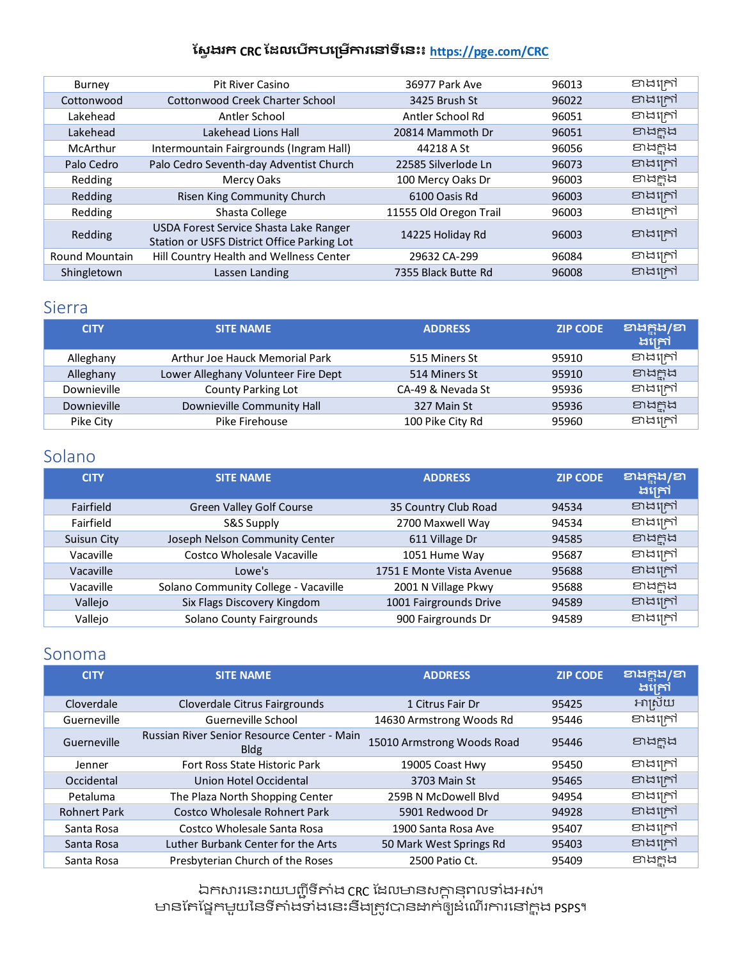| Burney                | <b>Pit River Casino</b>                                                               | 36977 Park Ave         | 96013 | ខាងក្រៅ  |
|-----------------------|---------------------------------------------------------------------------------------|------------------------|-------|----------|
| Cottonwood            | <b>Cottonwood Creek Charter School</b>                                                | 3425 Brush St          | 96022 | ខាងក្រៅ  |
| Lakehead              | Antler School                                                                         | Antler School Rd       | 96051 | ខាងក្រៅ  |
| Lakehead              | Lakehead Lions Hall                                                                   | 20814 Mammoth Dr       | 96051 | endrid   |
| McArthur              | Intermountain Fairgrounds (Ingram Hall)                                               | 44218 A St             | 96056 | ខាងក្អុង |
| Palo Cedro            | Palo Cedro Seventh-day Adventist Church                                               | 22585 Silverlode Ln    | 96073 | ខាងក្រៅ  |
| Redding               | Mercy Oaks                                                                            | 100 Mercy Oaks Dr      | 96003 | ខាងក្អុង |
| Redding               | Risen King Community Church                                                           | 6100 Oasis Rd          | 96003 | ខាងក្រៅ  |
| Redding               | Shasta College                                                                        | 11555 Old Oregon Trail | 96003 | ខាងក្រៅ  |
| Redding               | USDA Forest Service Shasta Lake Ranger<br>Station or USFS District Office Parking Lot | 14225 Holiday Rd       | 96003 | ខាងក្រៅ  |
| <b>Round Mountain</b> | Hill Country Health and Wellness Center                                               | 29632 CA-299           | 96084 | ខាងក្រៅ  |
| Shingletown           | Lassen Landing                                                                        | 7355 Black Butte Rd    | 96008 | ខាងក្រៅ  |

### <span id="page-11-0"></span>Sierra

| <b>CITY</b> | <b>SITE NAME</b>                    | <b>ADDRESS</b>    | <b>ZIP CODE</b> | ខាងក្នុង/ខា<br>ងគ្រៅ |
|-------------|-------------------------------------|-------------------|-----------------|----------------------|
| Alleghany   | Arthur Joe Hauck Memorial Park      | 515 Miners St     | 95910           | ខាងក្រៅ              |
| Alleghany   | Lower Alleghany Volunteer Fire Dept | 514 Miners St     | 95910           | ខាងក្ពុង             |
| Downieville | County Parking Lot                  | CA-49 & Nevada St | 95936           | ខាងក្រៅ              |
| Downieville | Downieville Community Hall          | 327 Main St       | 95936           | ខាងក្ពុង             |
| Pike City   | Pike Firehouse                      | 100 Pike City Rd  | 95960           | ខាងក្រៅ              |

## <span id="page-11-1"></span>Solano

| <b>CITY</b>      | <b>SITE NAME</b>                     | <b>ADDRESS</b>            | <b>ZIP CODE</b> | <b>ខាងក្នុង/ខា</b><br>ងក្រៅ |
|------------------|--------------------------------------|---------------------------|-----------------|-----------------------------|
| <b>Fairfield</b> | <b>Green Valley Golf Course</b>      | 35 Country Club Road      | 94534           | ខាងក្រៅ                     |
| Fairfield        | S&S Supply                           | 2700 Maxwell Way          | 94534           | ខាងក្រៅ                     |
| Suisun City      | Joseph Nelson Community Center       | 611 Village Dr            | 94585           | ខាងក្អុង                    |
| Vacaville        | Costco Wholesale Vacaville           | 1051 Hume Way             | 95687           | ខាងក្រៅ                     |
| Vacaville        | Lowe's                               | 1751 E Monte Vista Avenue | 95688           | ខាងក្រៅ                     |
| Vacaville        | Solano Community College - Vacaville | 2001 N Village Pkwy       | 95688           | ខាងក្នុង                    |
| Vallejo          | Six Flags Discovery Kingdom          | 1001 Fairgrounds Drive    | 94589           | ខាងក្រៅ                     |
| Vallejo          | <b>Solano County Fairgrounds</b>     | 900 Fairgrounds Dr        | 94589           | ខាងក្រៅ                     |

### <span id="page-11-2"></span>Sonoma

| <b>CITY</b>         | <b>SITE NAME</b>                                           | <b>ADDRESS</b>             | <b>ZIP CODE</b> | ខាងក្តុង/ខា<br>ងគ្រៅ |
|---------------------|------------------------------------------------------------|----------------------------|-----------------|----------------------|
| Cloverdale          | Cloverdale Citrus Fairgrounds                              | 1 Citrus Fair Dr           | 95425           | អាស្រ័យ              |
| Guerneville         | Guerneville School                                         | 14630 Armstrong Woods Rd   | 95446           | ខាងក្រៅ              |
| Guerneville         | Russian River Senior Resource Center - Main<br><b>Bldg</b> | 15010 Armstrong Woods Road | 95446           | ខាងក្អុង             |
| Jenner              | Fort Ross State Historic Park                              | 19005 Coast Hwy            | 95450           | ខាងក្រៅ              |
| Occidental          | Union Hotel Occidental                                     | 3703 Main St               | 95465           | ខាងក្រៅ              |
| Petaluma            | The Plaza North Shopping Center                            | 259B N McDowell Blyd       | 94954           | ខាងក្រៅ              |
| <b>Rohnert Park</b> | Costco Wholesale Rohnert Park                              | 5901 Redwood Dr            | 94928           | ខាងក្រៅ              |
| Santa Rosa          | Costco Wholesale Santa Rosa                                | 1900 Santa Rosa Ave        | 95407           | ខាងក្រៅ              |
| Santa Rosa          | Luther Burbank Center for the Arts                         | 50 Mark West Springs Rd    | 95403           | ខាងក្រៅ              |
| Santa Rosa          | Presbyterian Church of the Roses                           | 2500 Patio Ct.             | 95409           | ខាងកង                |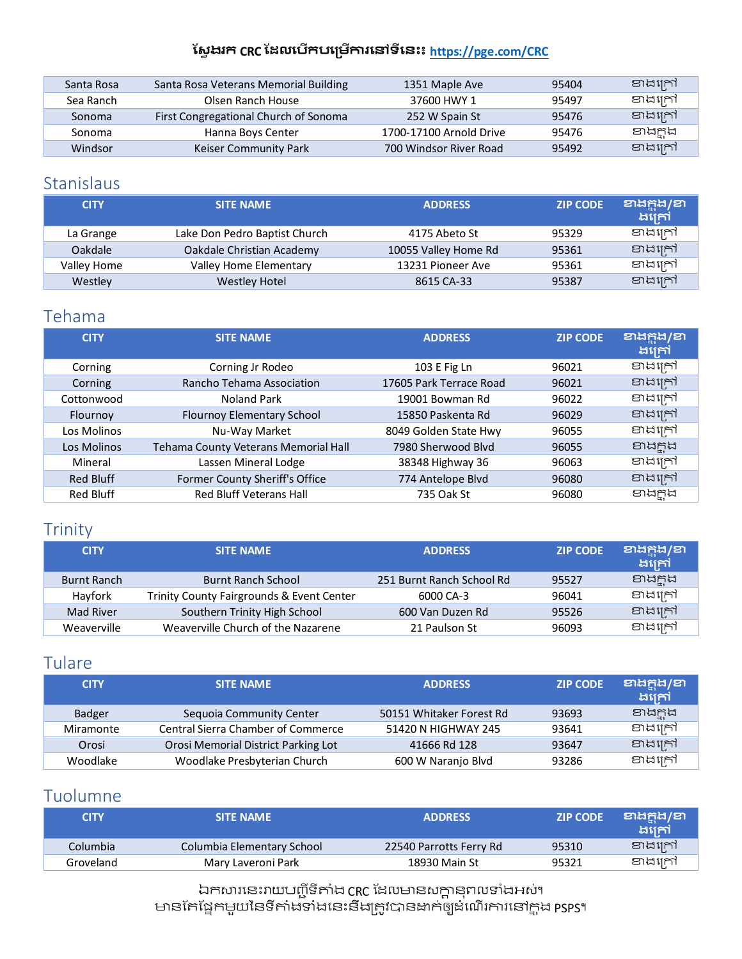| Santa Rosa | Santa Rosa Veterans Memorial Building | 1351 Maple Ave          | 95404 | ខាងក្រៅ  |
|------------|---------------------------------------|-------------------------|-------|----------|
| Sea Ranch  | Olsen Ranch House                     | 37600 HWY 1             | 95497 | ខាងក្រៅ  |
| Sonoma     | First Congregational Church of Sonoma | 252 W Spain St          | 95476 | ខាងក្រៅ  |
| Sonoma     | Hanna Boys Center                     | 1700-17100 Arnold Drive | 95476 | ខាងក្អុង |
| Windsor    | Keiser Community Park                 | 700 Windsor River Road  | 95492 | ខាងក្រៅ  |

### <span id="page-12-0"></span>Stanislaus

| <b>CITY</b> | <b>SITE NAME</b>              | <b>ADDRESS</b>       | <b>ZIP CODE</b> | <b>ខាងក្នុង/ខា</b><br>ងគ្រៅ |
|-------------|-------------------------------|----------------------|-----------------|-----------------------------|
| La Grange   | Lake Don Pedro Baptist Church | 4175 Abeto St        | 95329           | ខាងក្រៅ                     |
| Oakdale     | Oakdale Christian Academy     | 10055 Valley Home Rd | 95361           | ខាងក្រៅ                     |
| Valley Home | Valley Home Elementary        | 13231 Pioneer Ave    | 95361           | ខាងក្រៅ                     |
| Westley     | <b>Westley Hotel</b>          | 8615 CA-33           | 95387           | ខាងក្រៅ                     |

### <span id="page-12-1"></span>Tehama

| <b>CITY</b>      | <b>SITE NAME</b>                     | <b>ADDRESS</b>          | <b>ZIP CODE</b> | ខាងក្នុង/ខា<br>ងក្រៅ |
|------------------|--------------------------------------|-------------------------|-----------------|----------------------|
| Corning          | Corning Jr Rodeo                     | 103 E Fig Ln            | 96021           | ខាងក្រៅ              |
| Corning          | Rancho Tehama Association            | 17605 Park Terrace Road | 96021           | ខាងក្រៅ              |
| Cottonwood       | Noland Park                          | 19001 Bowman Rd         | 96022           | ខាងក្រៅ              |
| Flournoy         | Flournoy Elementary School           | 15850 Paskenta Rd       | 96029           | ខាងក្រៅ              |
| Los Molinos      | Nu-Way Market                        | 8049 Golden State Hwy   | 96055           | ខាងក្រៅ              |
| Los Molinos      | Tehama County Veterans Memorial Hall | 7980 Sherwood Blvd      | 96055           | ខាងក្នុង             |
| Mineral          | Lassen Mineral Lodge                 | 38348 Highway 36        | 96063           | ខាងក្រៅ              |
| <b>Red Bluff</b> | Former County Sheriff's Office       | 774 Antelope Blvd       | 96080           | ខាងក្រៅ              |
| <b>Red Bluff</b> | Red Bluff Veterans Hall              | 735 Oak St              | 96080           | ខាងក្ពុង             |

# <span id="page-12-2"></span>Trinity

| <b>CITY</b>        | <b>SITE NAME</b>                          | <b>ADDRESS</b>            | <b>ZIP CODE</b> | ខាងក្តុង/ខា<br>ងក្រោ |
|--------------------|-------------------------------------------|---------------------------|-----------------|----------------------|
| <b>Burnt Ranch</b> | <b>Burnt Ranch School</b>                 | 251 Burnt Ranch School Rd | 95527           | ខាងក្ពុង             |
| Hayfork            | Trinity County Fairgrounds & Event Center | 6000 CA-3                 | 96041           | ខាងក្រៅ              |
| Mad River          | Southern Trinity High School              | 600 Van Duzen Rd          | 95526           | ខាងក្រៅ              |
| Weaverville        | Weaverville Church of the Nazarene        | 21 Paulson St             | 96093           | ខាងក្រៅ              |

### <span id="page-12-3"></span>Tulare

| <b>CITY</b>   | <b>SITE NAME</b>                          | <b>ADDRESS</b>           | <b>ZIP CODE</b> | ខាងក្តុង/ខា<br>ងក្រៅ |
|---------------|-------------------------------------------|--------------------------|-----------------|----------------------|
| <b>Badger</b> | Sequoia Community Center                  | 50151 Whitaker Forest Rd | 93693           | ខាងក្ពុង             |
| Miramonte     | <b>Central Sierra Chamber of Commerce</b> | 51420 N HIGHWAY 245      | 93641           | ខាងក្រៅ              |
| Orosi         | Orosi Memorial District Parking Lot       | 41666 Rd 128             | 93647           | ខាងក្រៅ              |
| Woodlake      | Woodlake Presbyterian Church              | 600 W Naranjo Blvd       | 93286           | ខាងក្រៅ              |

### <span id="page-12-4"></span>Tuolumne

| CITY      | <b>SITE NAME</b>           | <b>ADDRESS</b>          | <b>ZIP CODE</b> | ខាងក្តុង/ខា<br>ងក្រៅ |
|-----------|----------------------------|-------------------------|-----------------|----------------------|
| Columbia  | Columbia Elementary School | 22540 Parrotts Ferry Rd | 95310           | ខាងក្រៅ              |
| Groveland | Mary Laveroni Park         | 18930 Main St           | 95321           | ខាងក្រៅ              |